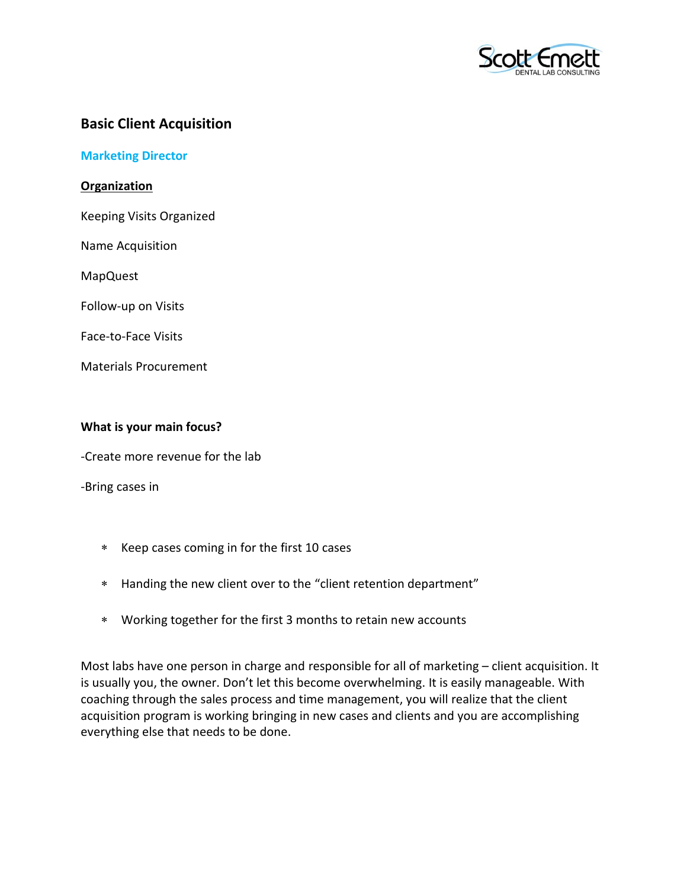

## **Basic Client Acquisition**

**Marketing Director**

**Organization**

Keeping Visits Organized

Name Acquisition

MapQuest

Follow-up on Visits

Face-to-Face Visits

Materials Procurement

## **What is your main focus?**

-Create more revenue for the lab

-Bring cases in

- Keep cases coming in for the first 10 cases
- Handing the new client over to the "client retention department"
- Working together for the first 3 months to retain new accounts

Most labs have one person in charge and responsible for all of marketing – client acquisition. It is usually you, the owner. Don't let this become overwhelming. It is easily manageable. With coaching through the sales process and time management, you will realize that the client acquisition program is working bringing in new cases and clients and you are accomplishing everything else that needs to be done.